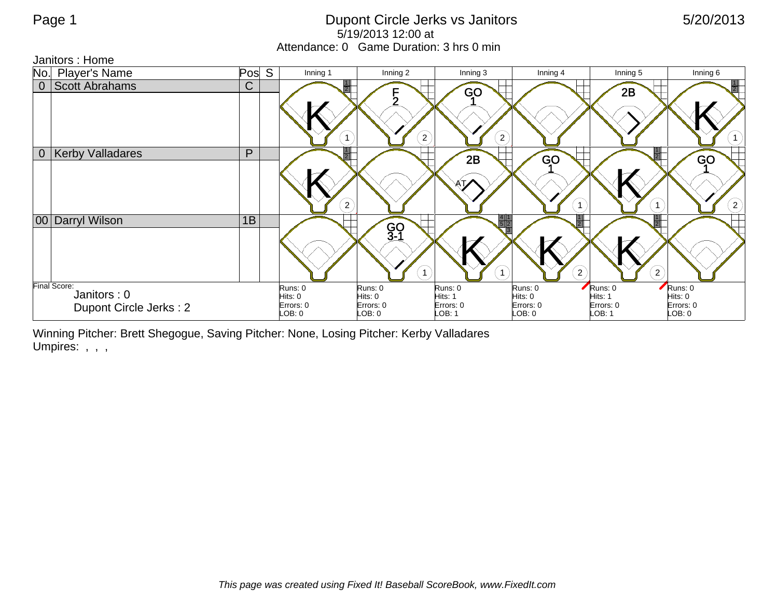## Page 1 **Dupont Circle Jerks vs Janitors** 6/20/2013 5/19/2013 12:00 at Attendance: 0 Game Duration: 3 hrs 0 min

Janitors : Home



Winning Pitcher: Brett Shegogue, Saving Pitcher: None, Losing Pitcher: Kerby Valladares Umpires: , , ,